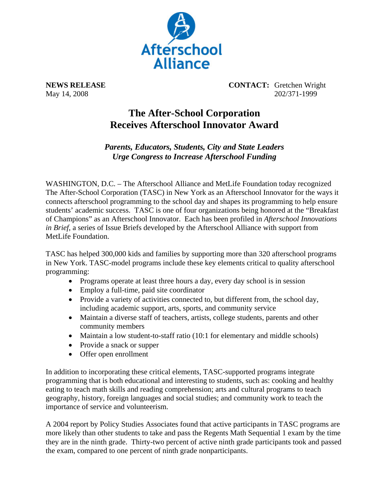

**NEWS RELEASE CONTACT:** Gretchen Wright May 14, 2008 202/371-1999

## **The After-School Corporation Receives Afterschool Innovator Award**

*Parents, Educators, Students, City and State Leaders Urge Congress to Increase Afterschool Funding* 

WASHINGTON, D.C. – The Afterschool Alliance and MetLife Foundation today recognized The After-School Corporation (TASC) in New York as an Afterschool Innovator for the ways it connects afterschool programming to the school day and shapes its programming to help ensure students' academic success. TASC is one of four organizations being honored at the "Breakfast of Champions" as an Afterschool Innovator. Each has been profiled in *Afterschool Innovations in Brief*, a series of Issue Briefs developed by the Afterschool Alliance with support from MetLife Foundation.

TASC has helped 300,000 kids and families by supporting more than 320 afterschool programs in New York. TASC-model programs include these key elements critical to quality afterschool programming:

- Programs operate at least three hours a day, every day school is in session
- Employ a full-time, paid site coordinator
- Provide a variety of activities connected to, but different from, the school day, including academic support, arts, sports, and community service
- Maintain a diverse staff of teachers, artists, college students, parents and other community members
- Maintain a low student-to-staff ratio (10:1 for elementary and middle schools)
- Provide a snack or supper
- Offer open enrollment

In addition to incorporating these critical elements, TASC-supported programs integrate programming that is both educational and interesting to students, such as: cooking and healthy eating to teach math skills and reading comprehension; arts and cultural programs to teach geography, history, foreign languages and social studies; and community work to teach the importance of service and volunteerism.

A 2004 report by Policy Studies Associates found that active participants in TASC programs are more likely than other students to take and pass the Regents Math Sequential 1 exam by the time they are in the ninth grade. Thirty-two percent of active ninth grade participants took and passed the exam, compared to one percent of ninth grade nonparticipants.